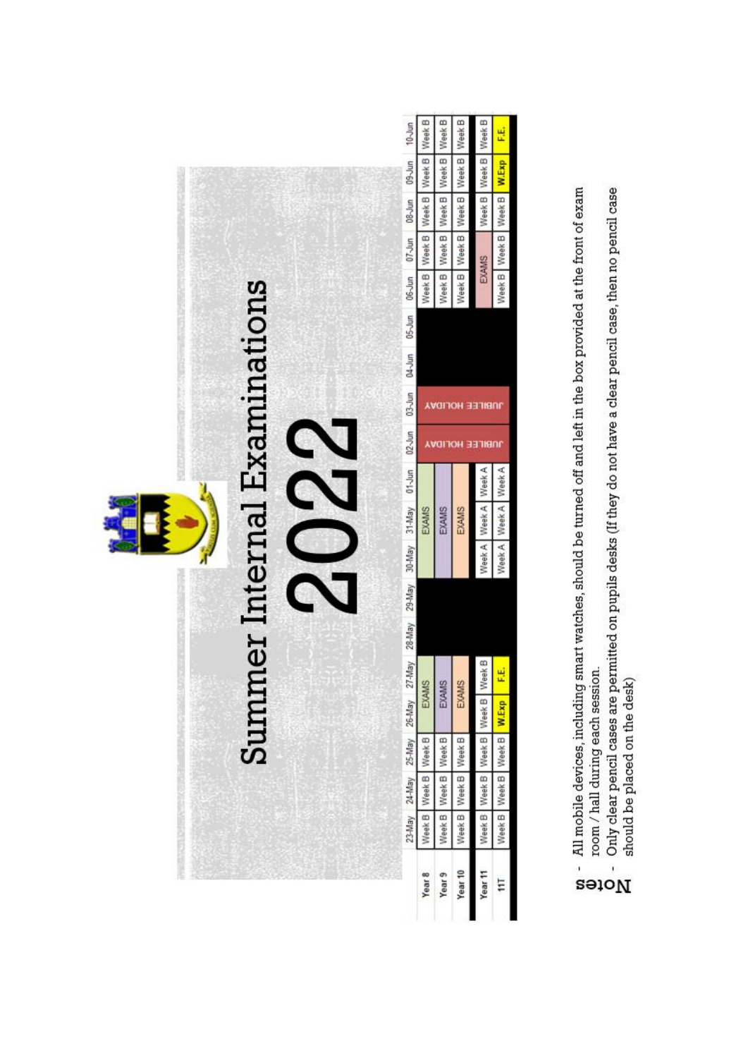

- All mobile devices, including smart watches, should be turned off and left in the box provided at the front of exam
	- room / hall during each session.
- Only clear pencil cases are permitted on pupils desks (If they do not have a clear pencil case, then no pencil case  $\overline{1}$ Notes
	- should be placed on the desk)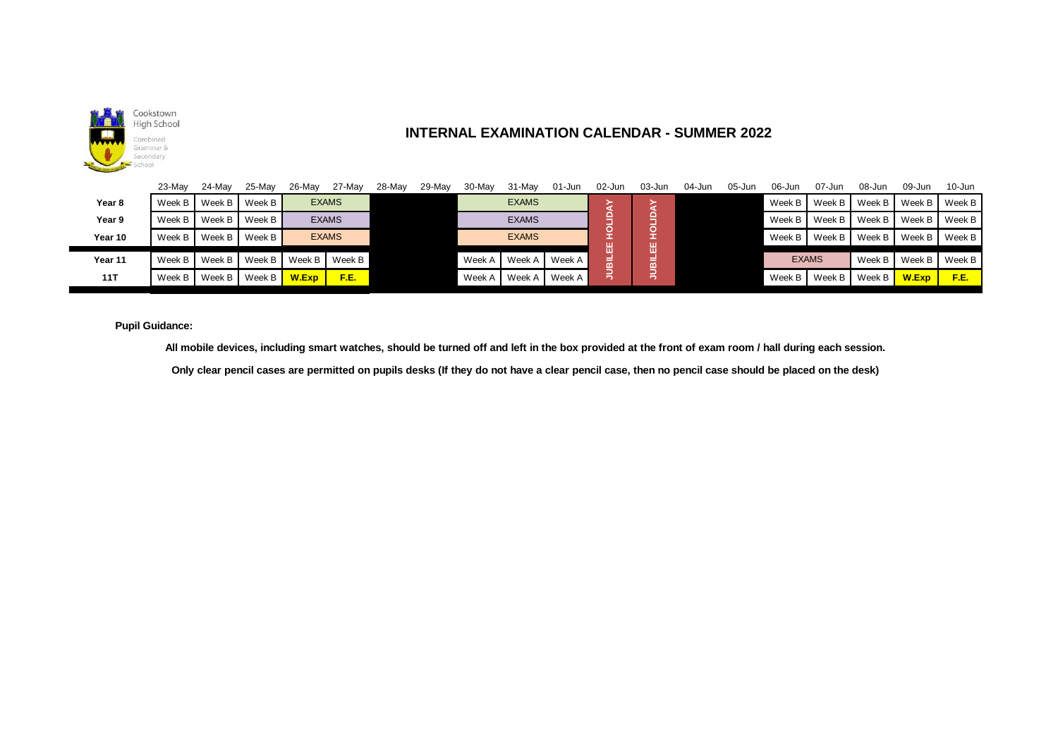

## **INTERNAL EXAMINATION CALENDAR - SUMMER 2022**

| 23-May                                                                                                                                                                         | 24-Mav | 25-May | 26-May | 27-May | 28-May                                       | 29-May | 30-May | 31-Mav       | 01-Jun | 02-Jun | $03 - Jun$                 | 04-Jun                      | 05-Jun | 06-Jun | 07-Jun | 08-Jun       | 09-Jun                                                                                                                                            | $10 - Jun$      |
|--------------------------------------------------------------------------------------------------------------------------------------------------------------------------------|--------|--------|--------|--------|----------------------------------------------|--------|--------|--------------|--------|--------|----------------------------|-----------------------------|--------|--------|--------|--------------|---------------------------------------------------------------------------------------------------------------------------------------------------|-----------------|
| Week B                                                                                                                                                                         | Week B | Week B |        |        |                                              |        |        | <b>EXAMS</b> |        |        |                            |                             |        | Week B | Week B | Week B       | Week B                                                                                                                                            | Week B          |
| Week B                                                                                                                                                                         | Week B | Week B |        |        |                                              |        |        | <b>EXAMS</b> |        |        |                            |                             |        | Week B | Week B | Week B       | Week B                                                                                                                                            | Week B          |
| Week B                                                                                                                                                                         | Week B | Week B |        |        |                                              |        |        | <b>EXAMS</b> |        |        |                            |                             |        | Week B | Week B | Week B       | Week B                                                                                                                                            | Week B          |
| Week B                                                                                                                                                                         | Week B | Week B | Week B | Week B |                                              |        | Week A | Week A       |        |        |                            |                             |        |        |        |              |                                                                                                                                                   | Week B          |
| Week B                                                                                                                                                                         |        |        | W.Exp  | F.E.   |                                              |        | Week A | Week A       | Week A |        |                            |                             |        | Week B | Week B | Week B       | W.Exp                                                                                                                                             | F.E.            |
| <b>Pupil Guidance:</b><br>All mobile devices, including smart watches, should be turned off and left in the box provided at the front of exam room / hall during each session. |        |        |        |        |                                              |        |        |              |        |        |                            |                             |        |        |        |              |                                                                                                                                                   |                 |
|                                                                                                                                                                                |        |        | Week B | Week B | <b>EXAMS</b><br><b>EXAMS</b><br><b>EXAMS</b> |        |        |              |        | Neek A | HOLID<br>膃<br><b>THENC</b> | HOLID<br>쁣<br><b>TIBILI</b> |        |        |        | <b>EXAMS</b> | Only clear pencil cases are permitted on pupils desks (If they do not have a clear pencil case, then no pencil case should be placed on the desk) | Week B   Week B |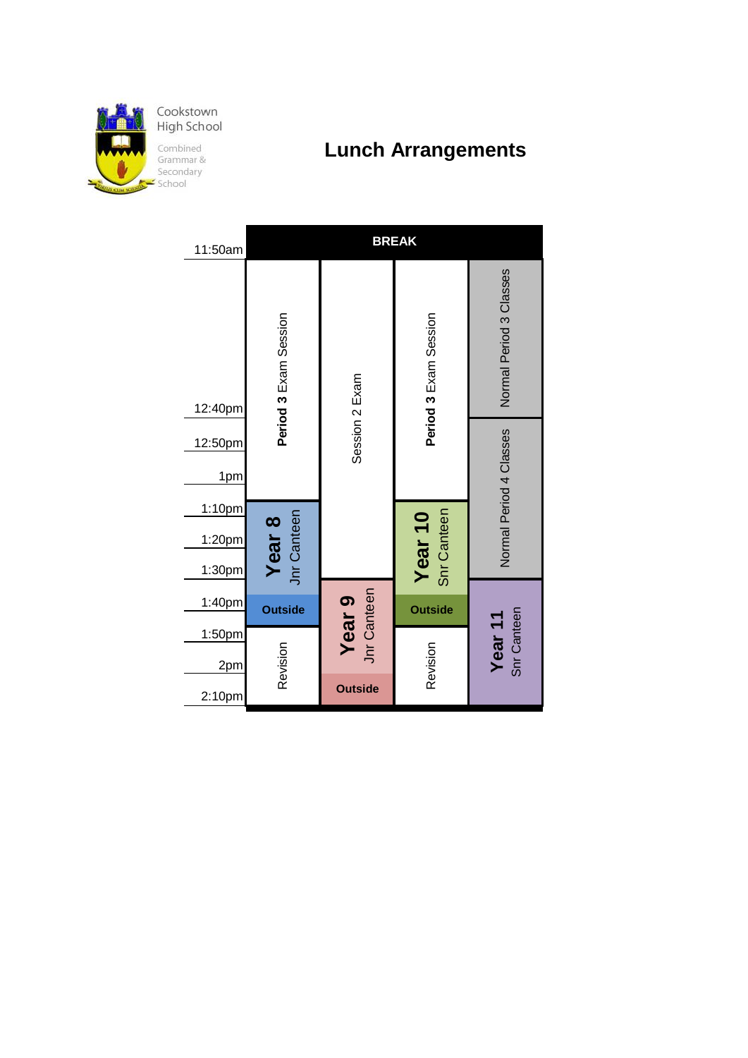

**Lunch Arrangements**

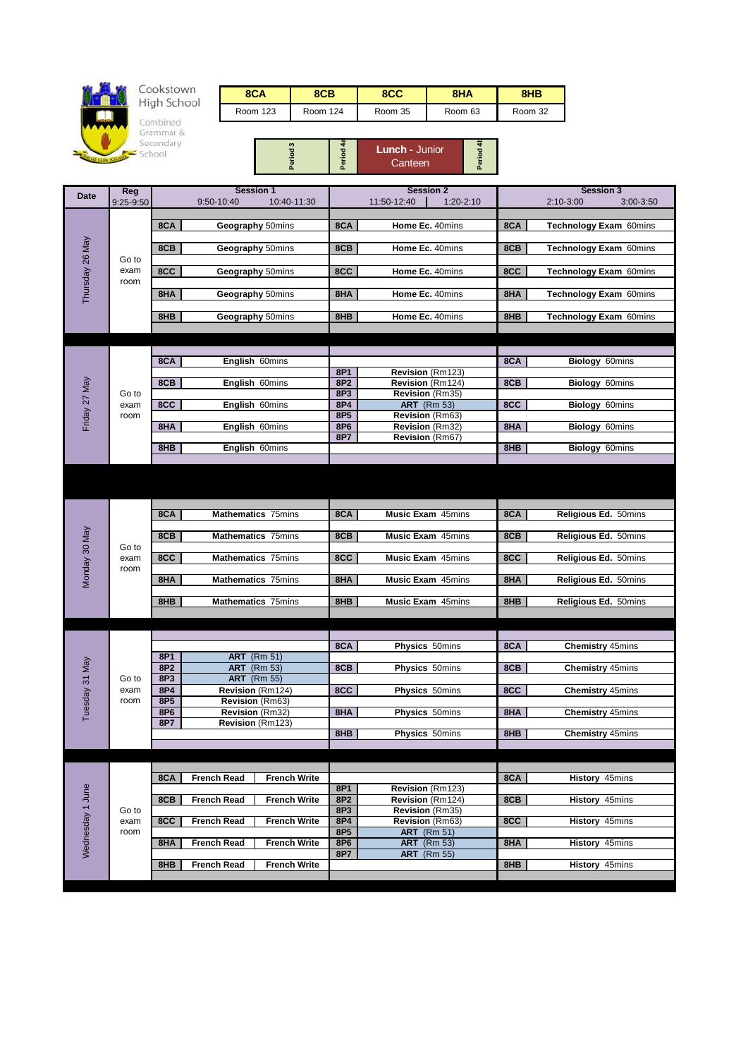

## Cookstown<br>High School

Combined<br>Grammar &<br>Secondary<br>School

| 8CA      | 8CB      | 8CC     | 8HA     | 8HB     |
|----------|----------|---------|---------|---------|
| Room 123 | Room 124 | Room 35 | Room 63 | Room 32 |

| ຕ | <b>Lunch - Junior</b><br>Canteen | ÷ |
|---|----------------------------------|---|
|---|----------------------------------|---|

| Date             | Reg          | <b>Session 1</b>                                 |                        | <b>Session 2</b>                      |     | <b>Session 3</b>             |
|------------------|--------------|--------------------------------------------------|------------------------|---------------------------------------|-----|------------------------------|
|                  | 9:25-9:50    | 9:50-10:40<br>10:40-11:30                        |                        | 11:50-12:40<br>1:20-2:10              |     | $2:10-3:00$<br>$3:00 - 3:50$ |
|                  |              |                                                  |                        |                                       |     |                              |
|                  |              | 8CA<br>Geography 50mins                          | 8CA                    | Home Ec. 40mins                       | 8CA | Technology Exam 60mins       |
|                  |              |                                                  |                        |                                       |     |                              |
|                  |              | 8CB<br>Geography 50mins                          | 8CB                    | Home Ec. 40mins                       | 8CB | Technology Exam 60mins       |
|                  | Go to        |                                                  |                        |                                       |     |                              |
|                  | exam         | 8CC<br>Geography 50mins                          | 8CC                    | Home Ec. 40mins                       | 8CC | Technology Exam 60mins       |
| Thursday 26 May  | room         |                                                  |                        |                                       |     |                              |
|                  |              | 8HA<br>Geography 50mins                          | 8HA                    | Home Ec. 40mins                       | 8HA | Technology Exam 60mins       |
|                  |              |                                                  |                        |                                       |     |                              |
|                  |              | 8HB<br>Geography 50mins                          | 8HB                    | Home Ec. 40mins                       | 8HB | Technology Exam 60mins       |
|                  |              |                                                  |                        |                                       |     |                              |
|                  |              |                                                  |                        |                                       |     |                              |
|                  |              |                                                  |                        |                                       |     |                              |
|                  |              | 8CA<br>English 60mins                            |                        |                                       | 8CA | Biology 60mins               |
|                  |              |                                                  | 8P1                    | Revision (Rm123)                      |     |                              |
| Friday 27 May    |              | 8CB<br>English 60mins                            | 8P <sub>2</sub>        | Revision (Rm124)                      | 8CB | Biology 60mins               |
|                  | Go to        |                                                  | 8P3                    | Revision (Rm35)                       |     |                              |
|                  | exam         | 8CC<br>English 60mins                            | 8P4                    | <b>ART</b> (Rm 53)<br>Revision (Rm63) | 8CC | Biology 60mins               |
|                  | room         | English 60mins<br>8HA                            | 8P5<br>8P6             | Revision (Rm32)                       | 8HA | Biology 60mins               |
|                  |              |                                                  | 8P7                    | Revision (Rm67)                       |     |                              |
|                  |              | 8HB<br>English 60mins                            |                        |                                       | 8HB | <b>Biology 60mins</b>        |
|                  |              |                                                  |                        |                                       |     |                              |
|                  |              |                                                  |                        |                                       |     |                              |
|                  |              |                                                  |                        |                                       |     |                              |
|                  |              |                                                  |                        |                                       |     |                              |
|                  |              |                                                  |                        |                                       |     |                              |
|                  |              | 8CA<br>Mathematics 75mins                        | 8CA                    | <b>Music Exam</b> 45mins              | 8CA | Religious Ed. 50mins         |
|                  |              |                                                  |                        |                                       |     |                              |
| Monday 30 May    |              | 8CB<br>Mathematics 75mins                        | 8CB                    | <b>Music Exam 45mins</b>              | 8CB | Religious Ed. 50mins         |
|                  | Go to        |                                                  |                        |                                       |     |                              |
|                  | exam         | 8CC<br>Mathematics 75mins                        | 8CC                    | <b>Music Exam</b> 45mins              | 8CC | Religious Ed. 50mins         |
|                  | room         |                                                  |                        |                                       |     |                              |
|                  |              | 8HA<br><b>Mathematics 75mins</b>                 | 8HA                    | <b>Music Exam</b> 45mins              | 8HA | Religious Ed. 50mins         |
|                  |              |                                                  |                        |                                       |     |                              |
|                  |              | 8HB<br><b>Mathematics 75mins</b>                 | 8HB                    | <b>Music Exam</b> 45mins              | 8HB | Religious Ed. 50mins         |
|                  |              |                                                  |                        |                                       |     |                              |
|                  |              |                                                  |                        |                                       |     |                              |
|                  |              |                                                  | 8CA                    | Physics 50mins                        | 8CA | <b>Chemistry 45mins</b>      |
|                  |              | 8P1<br><b>ART</b> (Rm 51)                        |                        |                                       |     |                              |
|                  |              | <b>ART</b> (Rm 53)<br>8P2                        | 8CB                    | Physics 50mins                        | 8CB | <b>Chemistry 45mins</b>      |
|                  | Go to        | 8P3<br><b>ART</b> (Rm 55)                        |                        |                                       |     |                              |
|                  | exam         | 8P4<br>Revision (Rm124)                          | 8CC                    | Physics 50mins                        | 8CC | <b>Chemistry 45mins</b>      |
| Tuesday 31 May   | room         | 8P5<br>Revision (Rm63)                           |                        |                                       |     |                              |
|                  |              | 8P6<br>Revision (Rm32)                           | 8HA                    | Physics 50mins                        | 8HA | <b>Chemistry 45mins</b>      |
|                  |              | 8P7<br>Revision (Rm123)                          |                        |                                       |     |                              |
|                  |              |                                                  | 8HB                    | Physics 50mins                        | 8HB | <b>Chemistry 45mins</b>      |
|                  |              |                                                  |                        |                                       |     |                              |
|                  |              |                                                  |                        |                                       |     |                              |
|                  |              |                                                  |                        |                                       |     |                              |
|                  |              | 8CA<br><b>French Read</b><br><b>French Write</b> |                        |                                       | 8CA | History 45mins               |
|                  |              |                                                  | 8P1                    | Revision (Rm123)                      |     |                              |
| Wednesday 1 June |              | 8CB<br><b>French Read</b><br><b>French Write</b> | 8P <sub>2</sub>        | Revision (Rm124)                      | 8CB | History 45mins               |
|                  | Go to        | <b>French Write</b><br><b>French Read</b>        | 8P3                    | Revision (Rm35)                       |     | History 45mins               |
|                  | exam<br>room | 8CC                                              | 8P4<br>8P <sub>5</sub> | Revision (Rm63)<br><b>ART</b> (Rm 51) | 8CC |                              |
|                  |              | <b>French Read</b><br><b>French Write</b><br>8HA | 8P6                    | <b>ART</b> (Rm 53)                    | 8HA | History 45mins               |
|                  |              |                                                  | 8P7                    | <b>ART</b> (Rm 55)                    |     |                              |
|                  |              | <b>French Read</b><br>8HB<br><b>French Write</b> |                        |                                       | 8HB | History 45mins               |
|                  |              |                                                  |                        |                                       |     |                              |
|                  |              |                                                  |                        |                                       |     |                              |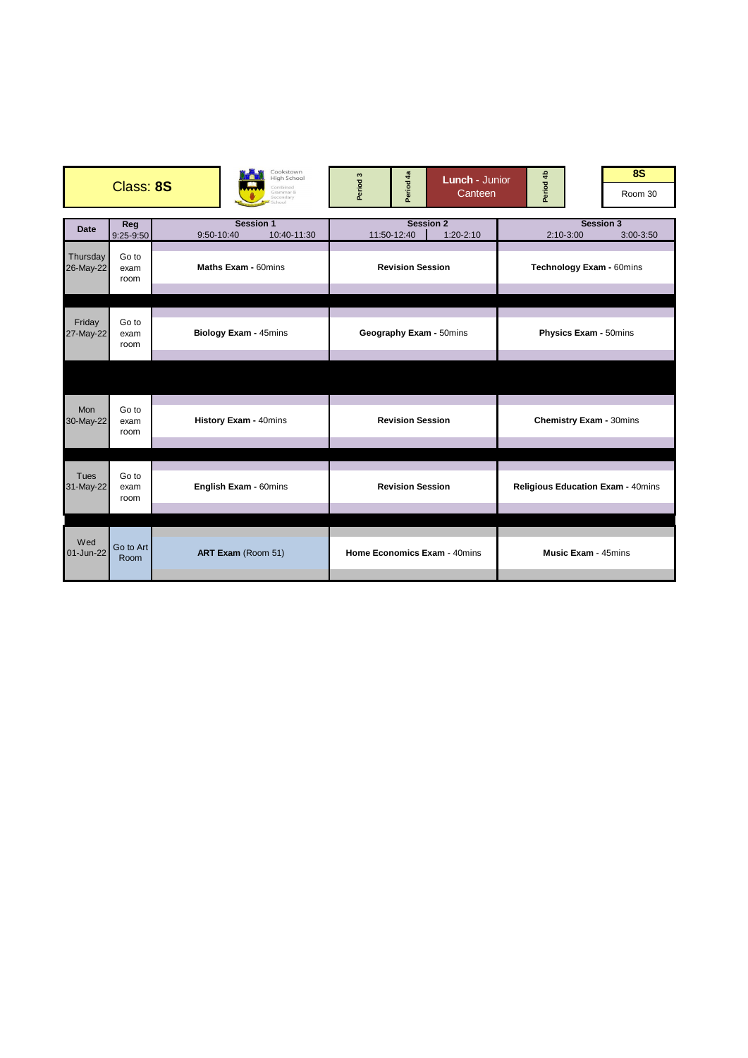|                          | Cookstown<br>High School<br>Class: 8S<br>Combined<br>Grammar &<br>Secondary<br>chool |                                               | Period <sub>3</sub>          | Period 4a<br><b>Lunch - Junior</b><br>Canteen |                                   |                                                  | Period 4b                      |  | <b>8S</b><br>Room 30 |  |
|--------------------------|--------------------------------------------------------------------------------------|-----------------------------------------------|------------------------------|-----------------------------------------------|-----------------------------------|--------------------------------------------------|--------------------------------|--|----------------------|--|
| <b>Date</b>              | Reg<br>$9:25-9:50$                                                                   | <b>Session 1</b><br>10:40-11:30<br>9:50-10:40 |                              | 11:50-12:40                                   | <b>Session 2</b><br>$1:20 - 2:10$ | <b>Session 3</b><br>$2:10-3:00$<br>$3:00 - 3:50$ |                                |  |                      |  |
| Thursday<br>26-May-22    | Go to<br>exam<br>room                                                                | Maths Exam - 60mins                           | <b>Revision Session</b>      |                                               |                                   |                                                  | Technology Exam - 60mins       |  |                      |  |
|                          |                                                                                      |                                               |                              |                                               |                                   |                                                  |                                |  |                      |  |
| Friday<br>27-May-22      | Go to<br>exam<br>room                                                                | Biology Exam - 45mins                         | Geography Exam - 50mins      |                                               |                                   | Physics Exam - 50mins                            |                                |  |                      |  |
|                          |                                                                                      |                                               |                              |                                               |                                   |                                                  |                                |  |                      |  |
| <b>Mon</b><br>30-May-22  | Go to<br>exam<br>room                                                                | History Exam - 40mins                         |                              | <b>Revision Session</b>                       |                                   |                                                  | <b>Chemistry Exam - 30mins</b> |  |                      |  |
|                          |                                                                                      |                                               |                              |                                               |                                   |                                                  |                                |  |                      |  |
| <b>Tues</b><br>31-May-22 | Go to<br>English Exam - 60mins<br>exam<br>room                                       |                                               | <b>Revision Session</b>      |                                               |                                   | <b>Religious Education Exam - 40mins</b>         |                                |  |                      |  |
|                          |                                                                                      |                                               |                              |                                               |                                   |                                                  |                                |  |                      |  |
| Wed<br>01-Jun-22         | Go to Art<br>Room                                                                    | ART Exam (Room 51)                            | Home Economics Exam - 40mins |                                               | <b>Music Exam - 45mins</b>        |                                                  |                                |  |                      |  |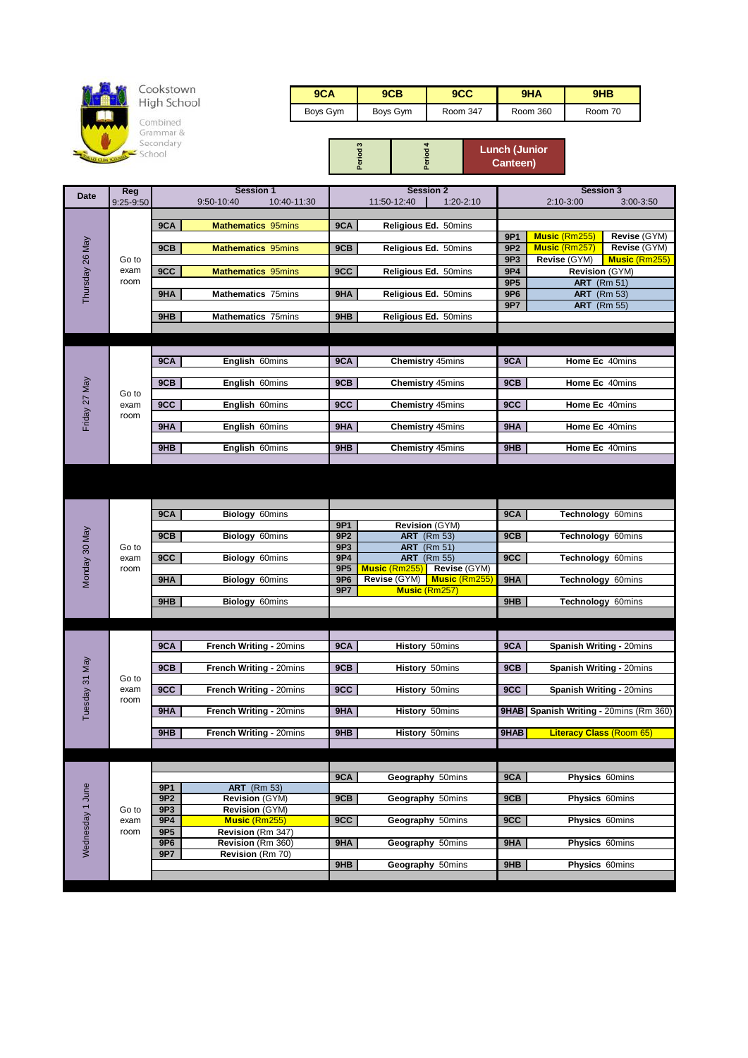

## Cookstown<br>High School

Combined<br>Grammar &<br>Secondary<br>School

| 9CA      | 9CB      | 9CC      | 9HA      | 9HB     |
|----------|----------|----------|----------|---------|
| Boys Gym | Boys Gym | Room 347 | Room 360 | Room 70 |

|  |  | <b>Lunch (Junior</b><br>Canteen) |
|--|--|----------------------------------|
|--|--|----------------------------------|

| <b>Date</b>      | <b>Reg</b>   |                 | <b>Session 1</b>          |                 |               | <b>Session 2</b>                   |                 | <b>Session 3</b>                       |                      |
|------------------|--------------|-----------------|---------------------------|-----------------|---------------|------------------------------------|-----------------|----------------------------------------|----------------------|
|                  | 9:25-9:50    |                 | 9:50-10:40<br>10:40-11:30 |                 | 11:50-12:40   | 1:20-2:10                          |                 | $2:10-3:00$                            | 3:00-3:50            |
|                  |              | 9CA             | <b>Mathematics 95mins</b> | 9CA             |               | Religious Ed. 50mins               |                 |                                        |                      |
|                  |              |                 |                           |                 |               |                                    | 9P1             | Music (Rm255)                          | Revise (GYM)         |
|                  |              | 9CB             | <b>Mathematics 95mins</b> | 9CB             |               | Religious Ed. 50mins               | 9P <sub>2</sub> | <b>Music (Rm257)</b>                   | Revise (GYM)         |
| Thursday 26 May  | Go to        |                 |                           |                 |               |                                    | 9P3             | Revise (GYM)                           | <b>Music (Rm255)</b> |
|                  | exam         | 9CC             | <b>Mathematics 95mins</b> | 9CC             |               | Religious Ed. 50mins               | 9P4             | Revision (GYM)                         |                      |
|                  | room         |                 |                           |                 |               |                                    | 9P <sub>5</sub> | <b>ART</b> (Rm 51)                     |                      |
|                  |              | 9HA             | <b>Mathematics 75mins</b> | 9HA             |               | Religious Ed. 50mins               | 9P6             | <b>ART</b> (Rm 53)                     |                      |
|                  |              |                 |                           |                 |               |                                    | 9P7             | <b>ART</b> (Rm 55)                     |                      |
|                  |              | 9HB             | <b>Mathematics 75mins</b> | 9HB             |               | Religious Ed. 50mins               |                 |                                        |                      |
|                  |              |                 |                           |                 |               |                                    |                 |                                        |                      |
|                  |              |                 |                           |                 |               |                                    |                 |                                        |                      |
|                  |              | 9CA             | English 60mins            | 9CA             |               | Chemistry 45mins                   | 9CA             | Home Ec 40mins                         |                      |
|                  |              |                 |                           |                 |               |                                    |                 |                                        |                      |
|                  |              | 9CB             | English 60mins            | 9CB             |               | Chemistry 45mins                   | 9CB             | Home Ec 40mins                         |                      |
|                  | Go to        |                 |                           |                 |               |                                    |                 |                                        |                      |
|                  | exam<br>room | 9CC             | English 60mins            | 9CC             |               | <b>Chemistry 45mins</b>            | 9CC             | Home Ec 40mins                         |                      |
| Friday 27 May    |              | 9HA             | English 60mins            | 9HA             |               | Chemistry 45mins                   | 9HA             | Home Ec 40mins                         |                      |
|                  |              |                 |                           |                 |               |                                    |                 |                                        |                      |
|                  |              | 9HB             | English 60mins            | 9HB             |               | <b>Chemistry 45mins</b>            | 9HB             | Home Ec 40mins                         |                      |
|                  |              |                 |                           |                 |               |                                    |                 |                                        |                      |
|                  |              |                 |                           |                 |               |                                    |                 |                                        |                      |
|                  |              |                 |                           |                 |               |                                    |                 |                                        |                      |
|                  |              |                 |                           |                 |               |                                    |                 |                                        |                      |
|                  |              | 9CA             | Biology 60mins            |                 |               |                                    | 9CA             | Technology 60mins                      |                      |
|                  |              |                 |                           | 9P1             |               | Revision (GYM)                     |                 |                                        |                      |
| Monday 30 May    |              | 9CB             | Biology 60mins            | 9P <sub>2</sub> |               | <b>ART</b> (Rm 53)                 | 9CB             | Technology 60mins                      |                      |
|                  | Go to        |                 |                           | 9P3             |               | <b>ART</b> (Rm 51)                 |                 |                                        |                      |
|                  | exam<br>room | 9CC             | Biology 60mins            | 9P4<br>9P5      | Music (Rm255) | <b>ART</b> (Rm 55)<br>Revise (GYM) | 9CC             | Technology 60mins                      |                      |
|                  |              | 9HA             | <b>Biology 60mins</b>     | 9P6             | Revise (GYM)  | Music (Rm255)                      | 9HA             | Technology 60mins                      |                      |
|                  |              |                 |                           | 9P7             |               | <b>Music (Rm257)</b>               |                 |                                        |                      |
|                  |              | 9HB             | Biology 60mins            |                 |               |                                    | 9HB             | Technology 60mins                      |                      |
|                  |              |                 |                           |                 |               |                                    |                 |                                        |                      |
|                  |              |                 |                           |                 |               |                                    |                 |                                        |                      |
|                  |              | 9CA             | French Writing - 20mins   | 9CA             |               | <b>History 50mins</b>              | 9CA             | Spanish Writing - 20mins               |                      |
|                  |              |                 |                           |                 |               |                                    |                 |                                        |                      |
|                  |              | 9CB             | French Writing - 20mins   | 9CB             |               | <b>History 50mins</b>              | 9CB             | Spanish Writing - 20mins               |                      |
|                  | Go to        |                 |                           |                 |               |                                    |                 |                                        |                      |
|                  | exam         | 9CC             | French Writing - 20mins   | 9CC             |               | History 50mins                     | 9CC             | Spanish Writing - 20mins               |                      |
| Tuesday 31 May   | room         | 9HA             | French Writing - 20mins   | 9HA             |               | <b>History 50mins</b>              |                 | 9HAB Spanish Writing - 20mins (Rm 360) |                      |
|                  |              |                 |                           |                 |               |                                    |                 |                                        |                      |
|                  |              | 9HB             | French Writing - 20mins   | 9HB             |               | History 50mins                     | 9HAB            | <b>Literacy Class (Room 65)</b>        |                      |
|                  |              |                 |                           |                 |               |                                    |                 |                                        |                      |
|                  |              |                 |                           |                 |               |                                    |                 |                                        |                      |
|                  |              |                 |                           | 9CA             |               |                                    | 9CA             | Physics 60mins                         |                      |
|                  |              | 9P1             | <b>ART</b> (Rm 53)        |                 |               | Geography 50mins                   |                 |                                        |                      |
|                  |              | 9P2             | Revision (GYM)            | 9CB             |               | Geography 50mins                   | 9CB             | Physics 60mins                         |                      |
|                  | Go to        | 9P3             | Revision (GYM)            |                 |               |                                    |                 |                                        |                      |
| Wednesday 1 June | exam         | 9P4             | <b>Music (Rm255)</b>      | 9CC             |               | Geography 50mins                   | 9CC             | Physics 60mins                         |                      |
|                  | room         | 9P <sub>5</sub> | Revision (Rm 347)         |                 |               |                                    |                 |                                        |                      |
|                  |              | 9P6             | Revision (Rm 360)         | 9HA             |               | Geography 50mins                   | 9HA             | Physics 60mins                         |                      |
|                  |              | 9P7             | Revision (Rm 70)          | 9HB             |               | Geography 50mins                   | 9HB             | Physics 60mins                         |                      |
|                  |              |                 |                           |                 |               |                                    |                 |                                        |                      |
|                  |              |                 |                           |                 |               |                                    |                 |                                        |                      |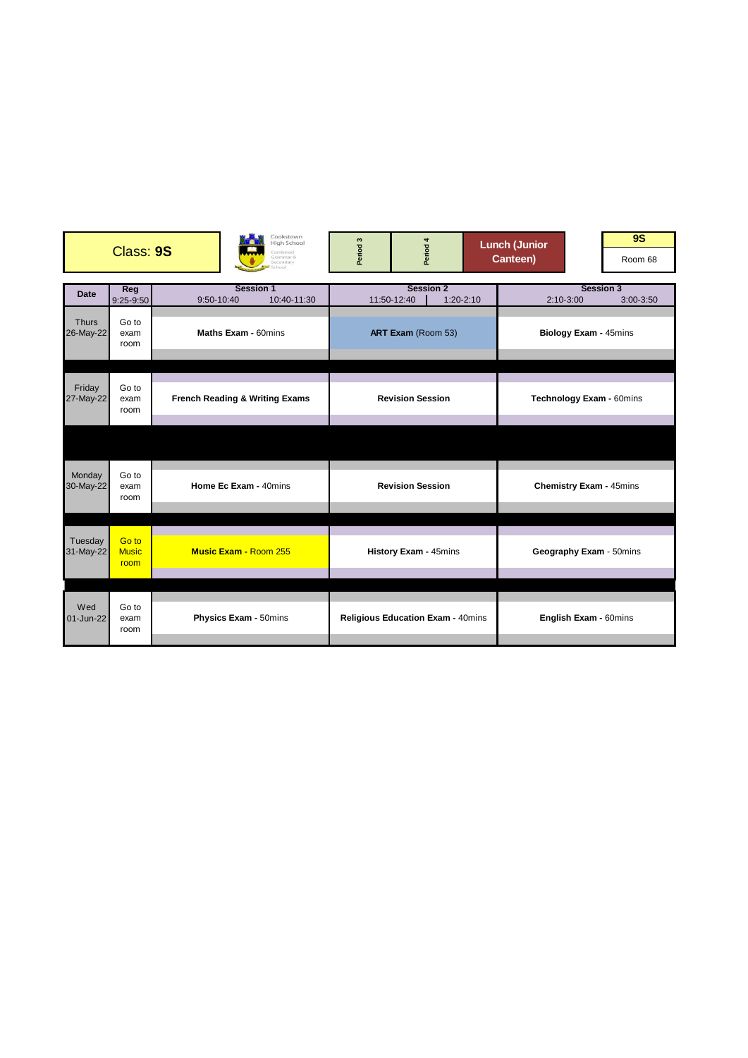|                           | Class: 9S                     |                                           |                              | Cookstown<br><b>High School</b><br>ombined<br>Grammar &<br>econdary<br>hnnl | Period <sub>3</sub>                      | Period 4                        |               | <b>Lunch (Junior</b><br>Canteen) |                                                |                       | <b>9S</b><br>Room 68 |  |
|---------------------------|-------------------------------|-------------------------------------------|------------------------------|-----------------------------------------------------------------------------|------------------------------------------|---------------------------------|---------------|----------------------------------|------------------------------------------------|-----------------------|----------------------|--|
| <b>Date</b>               | Reg<br>$9:25-9:50$            | 9:50-10:40                                | <b>Session 1</b>             | 10:40-11:30                                                                 |                                          | <b>Session 2</b><br>11:50-12:40 | $1:20 - 2:10$ |                                  | <b>Session 3</b><br>$2:10-3:00$<br>$3:00-3:50$ |                       |                      |  |
| <b>Thurs</b><br>26-May-22 | Go to<br>exam<br>room         | Maths Exam - 60mins                       |                              |                                                                             | ART Exam (Room 53)                       |                                 |               |                                  | Biology Exam - 45mins                          |                       |                      |  |
| Friday<br>27-May-22       | Go to<br>exam<br>room         | <b>French Reading &amp; Writing Exams</b> |                              |                                                                             | <b>Revision Session</b>                  |                                 |               |                                  | Technology Exam - 60mins                       |                       |                      |  |
|                           |                               |                                           |                              |                                                                             |                                          |                                 |               |                                  |                                                |                       |                      |  |
| Monday<br>30-May-22       | Go to<br>exam<br>room         | Home Ec Exam - 40mins                     |                              | <b>Revision Session</b>                                                     |                                          |                                 |               | <b>Chemistry Exam - 45mins</b>   |                                                |                       |                      |  |
| Tuesday<br>31-May-22      | Go to<br><b>Music</b><br>room |                                           | <b>Music Exam - Room 255</b> |                                                                             | History Exam - 45mins                    |                                 |               |                                  | Geography Exam - 50mins                        |                       |                      |  |
| Wed<br>01-Jun-22          | Go to<br>exam<br>room         |                                           | Physics Exam - 50mins        |                                                                             | <b>Religious Education Exam - 40mins</b> |                                 |               |                                  |                                                | English Exam - 60mins |                      |  |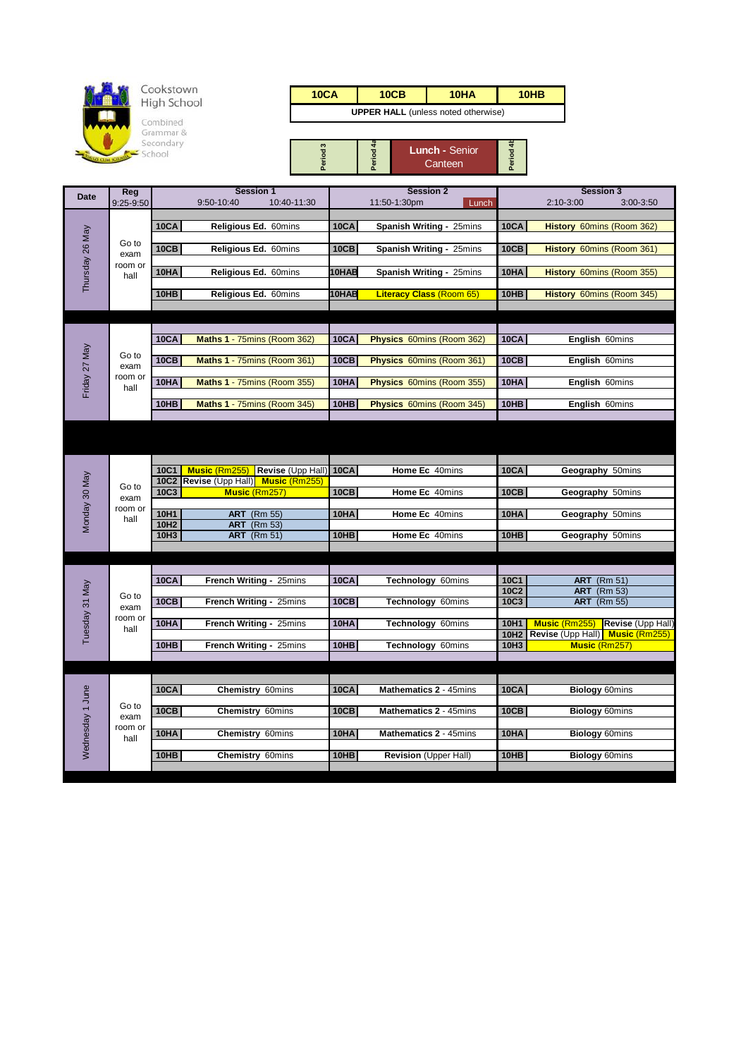

| 10CA                                       | 10CB | 10HA | 10 <sub>HB</sub> |  |  |  |  |
|--------------------------------------------|------|------|------------------|--|--|--|--|
| <b>UPPER HALL</b> (unless noted otherwise) |      |      |                  |  |  |  |  |

| œ | <b>Lunch - Senior</b><br>Canteen |  |
|---|----------------------------------|--|

| <b>Date</b>      | Reg             | <b>Session 1</b>                                                     | <b>Session 2</b> |                                 |                  | <b>Session 3</b>                          |
|------------------|-----------------|----------------------------------------------------------------------|------------------|---------------------------------|------------------|-------------------------------------------|
|                  | 9:25-9:50       | 10:40-11:30<br>9:50-10:40                                            |                  | 11:50-1:30pm<br>Lunch           |                  | 2:10-3:00<br>3:00-3:50                    |
|                  |                 | <b>10CA</b><br>Religious Ed. 60mins                                  | <b>10CA</b>      | Spanish Writing - 25mins        | <b>10CA</b>      | History 60mins (Room 362)                 |
| Thursday 26 May  | Go to<br>exam   | <b>10CB</b><br>Religious Ed. 60mins                                  | <b>10CB</b>      | Spanish Writing - 25mins        | <b>10CB</b>      | History 60mins (Room 361)                 |
|                  | room or<br>hall | <b>10HA</b><br>Religious Ed. 60mins                                  | 10HAB            | Spanish Writing - 25mins        | 10HA             | History 60mins (Room 355)                 |
|                  |                 | 10HB<br>Religious Ed. 60mins                                         | 10HAB            | <b>Literacy Class (Room 65)</b> | 10HB             | History 60mins (Room 345)                 |
|                  |                 |                                                                      |                  |                                 |                  |                                           |
|                  |                 |                                                                      |                  |                                 |                  |                                           |
|                  |                 | <b>10CA</b><br>Maths 1 - 75mins (Room 362)                           | <b>10CA</b>      | Physics 60mins (Room 362)       | <b>10CA</b>      | English 60mins                            |
| Friday 27 May    | Go to<br>exam   | 10CB<br>Maths 1 - 75mins (Room 361)                                  | 10CB             | Physics 60mins (Room 361)       | 10CB             | English 60mins                            |
|                  | room or<br>hall | 10HA<br>Maths 1 - 75mins (Room 355)                                  | <b>10HA</b>      | Physics 60mins (Room 355)       | <b>10HA</b>      | English 60mins                            |
|                  |                 | 10HB<br>Maths 1 - 75mins (Room 345)                                  | 10HB             | Physics 60mins (Room 345)       | 10HB             | English 60mins                            |
|                  |                 |                                                                      |                  |                                 |                  |                                           |
|                  |                 |                                                                      |                  |                                 |                  |                                           |
|                  |                 | 10C1<br>Revise (Upp Hall)<br><b>Music (Rm255)</b>                    | <b>10CA</b>      | Home Ec 40mins                  | <b>10CA</b>      | Geography 50mins                          |
|                  |                 | 10C2 Revise (Upp Hall) Music (Rm255)                                 |                  |                                 |                  |                                           |
|                  | Go to<br>exam   | 10C3<br>Music (Rm257)                                                | <b>10CB</b>      | Home Ec 40mins                  | <b>10CB</b>      | Geography 50mins                          |
| Monday 30 May    | room or<br>hall | 10H1<br><b>ART</b> (Rm 55)<br>10H <sub>2</sub><br><b>ART</b> (Rm 53) | 10HA             | Home Ec 40mins                  | 10HA             | Geography 50mins                          |
|                  |                 | 10H3<br><b>ART</b> (Rm 51)                                           | 10HB             | Home Ec 40mins                  | 10HB             | Geography 50mins                          |
|                  |                 |                                                                      |                  |                                 |                  |                                           |
|                  |                 |                                                                      |                  |                                 |                  |                                           |
|                  |                 | 10CA<br>French Writing - 25mins                                      | <b>10CA</b>      | Technology 60mins               | 10C1             | <b>ART</b> (Rm 51)                        |
|                  | Go to           |                                                                      |                  |                                 | 10C2             | <b>ART</b> (Rm 53)                        |
| Tuesday 31 May   | exam            | 10CB<br>French Writing - 25mins                                      | <b>10CB</b>      | Technology 60mins               | 10C3             | <b>ART</b> (Rm 55)                        |
|                  | room or<br>hall | 10HA<br>French Writing - 25mins                                      | 10HA             | Technology 60mins               | 10H1             | Revise (Upp Hall)<br><b>Music (Rm255)</b> |
|                  |                 |                                                                      |                  |                                 | 10H <sub>2</sub> | Revise (Upp Hall) Music (Rm255)           |
|                  |                 | 10HB<br>French Writing - 25mins                                      | 10HB             | Technology 60mins               | 10H3             | Music (Rm257)                             |
|                  |                 |                                                                      |                  |                                 |                  |                                           |
|                  |                 |                                                                      |                  |                                 |                  |                                           |
|                  |                 | <b>10CA</b><br>Chemistry 60mins                                      | <b>10CA</b>      | Mathematics 2 - 45mins          | <b>10CA</b>      | <b>Biology 60mins</b>                     |
| Wednesday 1 June | Go to<br>exam   | 10CB<br>Chemistry 60mins                                             | 10CB             | Mathematics 2 - 45mins          | 10CB             | <b>Biology 60mins</b>                     |
|                  | room or         |                                                                      |                  |                                 |                  |                                           |
|                  | hall            | 10HA<br>Chemistry 60mins                                             | 10HA             | Mathematics 2 - 45mins          | 10HA             | <b>Biology 60mins</b>                     |
|                  |                 | 10HB<br>Chemistry 60mins                                             | <b>10HB</b>      | Revision (Upper Hall)           | 10HB             | <b>Biology 60mins</b>                     |
|                  |                 |                                                                      |                  |                                 |                  |                                           |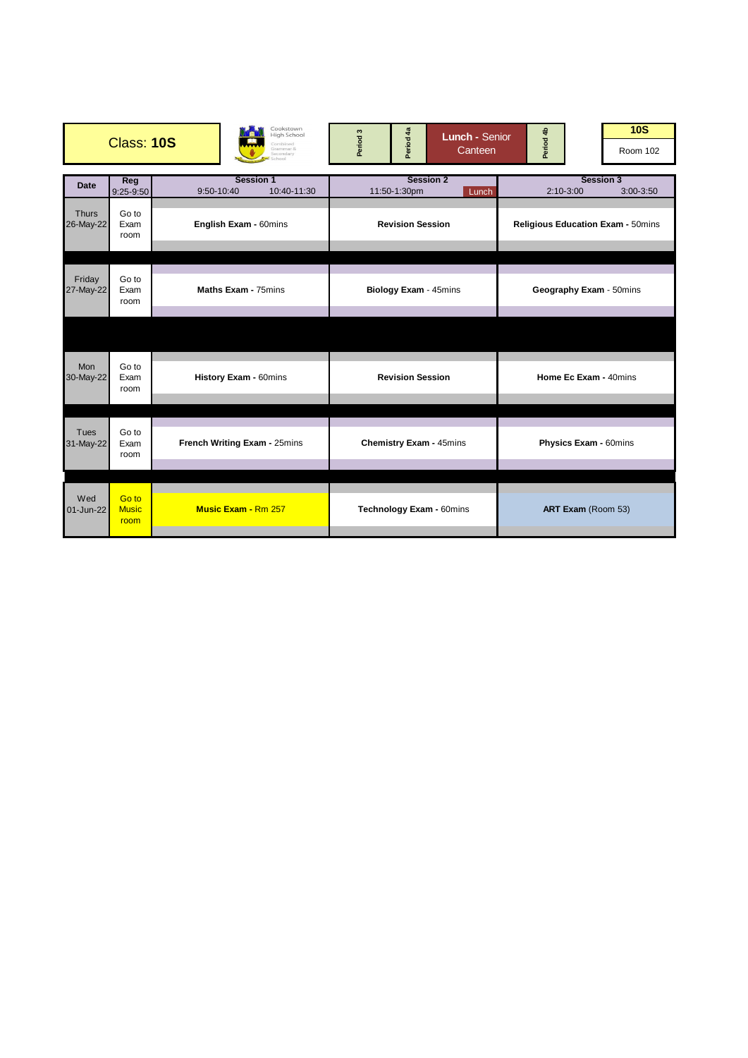|                           | <b>Class: 10S</b>             | Cookstown<br><b>High School</b><br>Combined<br>Grammar &<br>Secondary<br>hnnl | Period 4a<br>Period <sub>3</sub> | <b>Lunch - Senior</b><br>Canteen | Period 4b               | 10S<br>Room 102                          |
|---------------------------|-------------------------------|-------------------------------------------------------------------------------|----------------------------------|----------------------------------|-------------------------|------------------------------------------|
| <b>Date</b>               | Reg<br>$9:25-9:50$            | <b>Session 1</b><br>10:40-11:30<br>9:50-10:40                                 | 11:50-1:30pm                     | <b>Session 2</b><br>Lunch        | $2:10-3:00$             | <b>Session 3</b><br>$3:00 - 3:50$        |
| <b>Thurs</b><br>26-May-22 | Go to<br>Exam<br>room         | English Exam - 60mins                                                         | <b>Revision Session</b>          |                                  |                         | <b>Religious Education Exam - 50mins</b> |
| Friday<br>27-May-22       | Go to<br>Exam<br>room         | Maths Exam - 75mins                                                           | Biology Exam - 45mins            |                                  | Geography Exam - 50mins |                                          |
|                           |                               |                                                                               |                                  |                                  |                         |                                          |
| <b>Mon</b><br>30-May-22   | Go to<br>Exam<br>room         | History Exam - 60mins                                                         | <b>Revision Session</b>          |                                  | Home Ec Exam - 40mins   |                                          |
|                           |                               |                                                                               |                                  |                                  |                         |                                          |
| Tues<br>31-May-22         | Go to<br>Exam<br>room         | French Writing Exam - 25mins                                                  | <b>Chemistry Exam - 45mins</b>   |                                  |                         | Physics Exam - 60mins                    |
|                           |                               |                                                                               |                                  |                                  |                         |                                          |
| Wed<br>01-Jun-22          | Go to<br><b>Music</b><br>room | <b>Music Exam - Rm 257</b>                                                    | Technology Exam - 60mins         |                                  |                         | ART Exam (Room 53)                       |